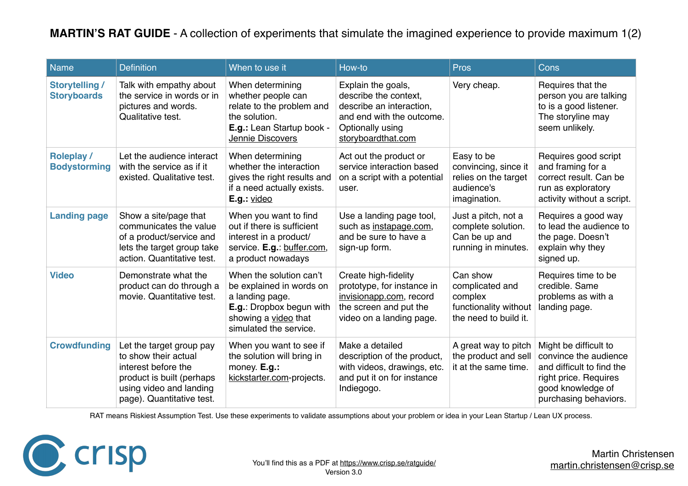## **MARTIN'S RAT GUIDE** - A collection of experiments that simulate the imagined experience to provide maximum 1(2)

| <b>Name</b>                                 | <b>Definition</b>                                                                                                                                            | When to use it                                                                                                                                       | How-to                                                                                                                                         | <b>Pros</b>                                                                              | Cons                                                                                                                                               |
|---------------------------------------------|--------------------------------------------------------------------------------------------------------------------------------------------------------------|------------------------------------------------------------------------------------------------------------------------------------------------------|------------------------------------------------------------------------------------------------------------------------------------------------|------------------------------------------------------------------------------------------|----------------------------------------------------------------------------------------------------------------------------------------------------|
| <b>Storytelling /</b><br><b>Storyboards</b> | Talk with empathy about<br>the service in words or in<br>pictures and words.<br>Qualitative test.                                                            | When determining<br>whether people can<br>relate to the problem and<br>the solution.<br>E.g.: Lean Startup book -<br>Jennie Discovers                | Explain the goals,<br>describe the context,<br>describe an interaction,<br>and end with the outcome.<br>Optionally using<br>storyboardthat.com | Very cheap.                                                                              | Requires that the<br>person you are talking<br>to is a good listener.<br>The storyline may<br>seem unlikely.                                       |
| <b>Roleplay /</b><br><b>Bodystorming</b>    | Let the audience interact<br>with the service as if it<br>existed. Qualitative test.                                                                         | When determining<br>whether the interaction<br>gives the right results and<br>if a need actually exists.<br>$E.g.:$ video                            | Act out the product or<br>service interaction based<br>on a script with a potential<br>user.                                                   | Easy to be<br>convincing, since it<br>relies on the target<br>audience's<br>imagination. | Requires good script<br>and framing for a<br>correct result. Can be<br>run as exploratory<br>activity without a script.                            |
| <b>Landing page</b>                         | Show a site/page that<br>communicates the value<br>of a product/service and<br>lets the target group take<br>action. Quantitative test.                      | When you want to find<br>out if there is sufficient<br>interest in a product/<br>service. E.g.: buffer.com,<br>a product nowadays                    | Use a landing page tool,<br>such as instapage.com,<br>and be sure to have a<br>sign-up form.                                                   | Just a pitch, not a<br>complete solution.<br>Can be up and<br>running in minutes.        | Requires a good way<br>to lead the audience to<br>the page. Doesn't<br>explain why they<br>signed up.                                              |
| <b>Video</b>                                | Demonstrate what the<br>product can do through a<br>movie. Quantitative test.                                                                                | When the solution can't<br>be explained in words on<br>a landing page.<br>E.g.: Dropbox begun with<br>showing a video that<br>simulated the service. | Create high-fidelity<br>prototype, for instance in<br>invisionapp.com, record<br>the screen and put the<br>video on a landing page.            | Can show<br>complicated and<br>complex<br>functionality without<br>the need to build it. | Requires time to be<br>credible. Same<br>problems as with a<br>landing page.                                                                       |
| <b>Crowdfunding</b>                         | Let the target group pay<br>to show their actual<br>interest before the<br>product is built (perhaps<br>using video and landing<br>page). Quantitative test. | When you want to see if<br>the solution will bring in<br>money. E.g.:<br>kickstarter.com-projects.                                                   | Make a detailed<br>description of the product,<br>with videos, drawings, etc.<br>and put it on for instance<br>Indiegogo.                      | A great way to pitch<br>the product and sell<br>it at the same time.                     | Might be difficult to<br>convince the audience<br>and difficult to find the<br>right price. Requires<br>good knowledge of<br>purchasing behaviors. |

RAT means Riskiest Assumption Test. Use these experiments to validate assumptions about your problem or idea in your Lean Startup / Lean UX process.